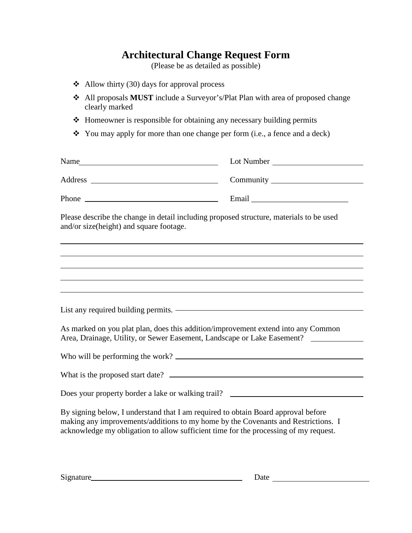## **Architectural Change Request Form**

(Please be as detailed as possible)

- $\triangleleft$  Allow thirty (30) days for approval process
- All proposals **MUST** include a Surveyor's/Plat Plan with area of proposed change clearly marked
- Homeowner is responsible for obtaining any necessary building permits
- $\bullet$  You may apply for more than one change per form (i.e., a fence and a deck)

| Name                                                                                                                                                                                                                                                           | Lot Number |  |
|----------------------------------------------------------------------------------------------------------------------------------------------------------------------------------------------------------------------------------------------------------------|------------|--|
|                                                                                                                                                                                                                                                                |            |  |
|                                                                                                                                                                                                                                                                |            |  |
| Please describe the change in detail including proposed structure, materials to be used<br>and/or size(height) and square footage.                                                                                                                             |            |  |
|                                                                                                                                                                                                                                                                |            |  |
|                                                                                                                                                                                                                                                                |            |  |
|                                                                                                                                                                                                                                                                |            |  |
|                                                                                                                                                                                                                                                                |            |  |
| As marked on you plat plan, does this addition/improvement extend into any Common<br>Area, Drainage, Utility, or Sewer Easement, Landscape or Lake Easement?                                                                                                   |            |  |
|                                                                                                                                                                                                                                                                |            |  |
| What is the proposed start date?                                                                                                                                                                                                                               |            |  |
| Does your property border a lake or walking trail? ______________________________                                                                                                                                                                              |            |  |
| By signing below, I understand that I am required to obtain Board approval before<br>making any improvements/additions to my home by the Covenants and Restrictions. I<br>acknowledge my obligation to allow sufficient time for the processing of my request. |            |  |